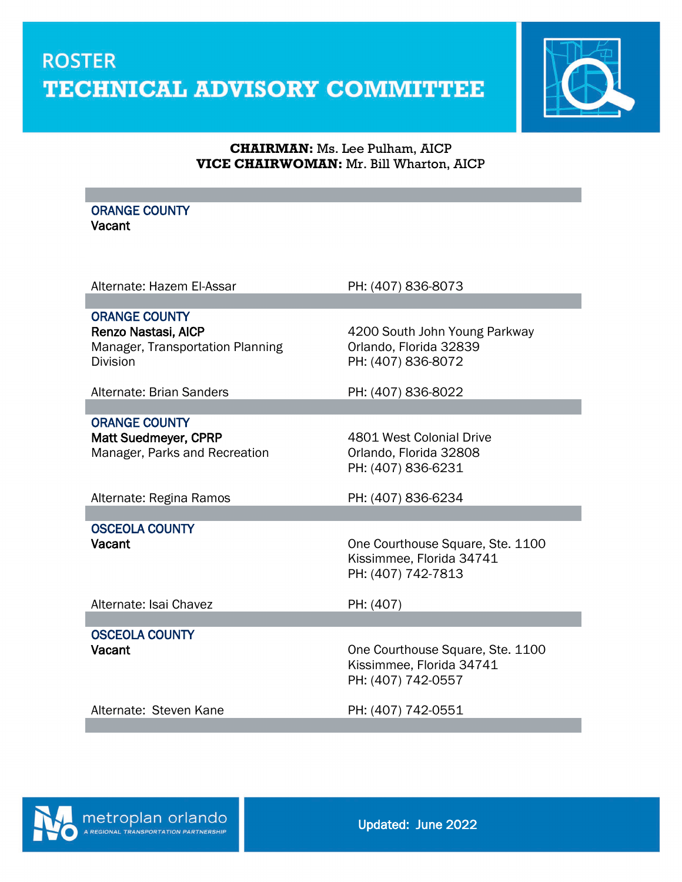

#### **CHAIRMAN:** Ms. Lee Pulham, AICP **VICE CHAIRWOMAN:** Mr. Bill Wharton, AICP

#### ORANGE COUNTY **Vacant**

Alternate: Hazem El-Assar PH: (407) 836-8073

ORANGE COUNTY

Manager, Transportation Planning **Canadia Contant Contant Contant Contant Contant Contant Contant Contant Conta** Division PH: (407) 836-8072

Alternate: Brian Sanders PH: (407) 836-8022

ORANGE COUNTY

Manager, Parks and Recreation **Constanting Contains Analytic Act of Act 2018** 

Renzo Nastasi, AICP **1988** and the 4200 South John Young Parkway

Matt Suedmeyer, CPRP 4801 West Colonial Drive PH: (407) 836-6231

Alternate: Regina Ramos PH: (407) 836-6234

OSCEOLA COUNTY

Vacant Vacant Courthouse Square, Ste. 1100 Kissimmee, Florida 34741 PH: (407) 742-7813

Alternate: Isai Chavez PH: (407)

OSCEOLA COUNTY

One Courthouse Square, Ste. 1100 Kissimmee, Florida 34741 PH: (407) 742-0557

Alternate: Steven Kane PH: (407) 742-0551

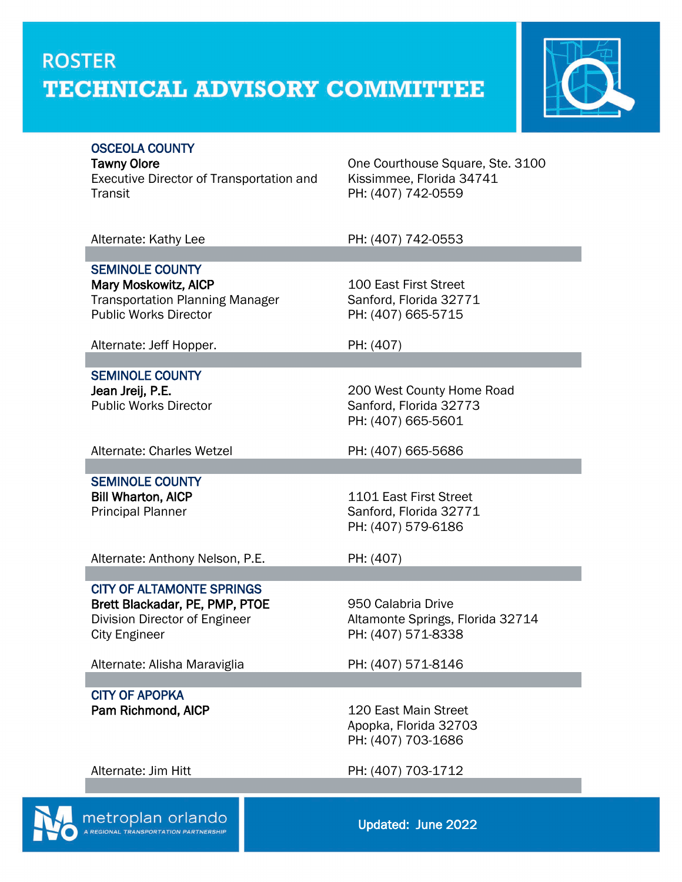

#### OSCEOLA COUNTY

metroplan orlando

Executive Director of Transportation and Transit

Tawny Olore **Countillact Courthouse Square, Ste. 3100** Kissimmee, Florida 34741 PH: (407) 742-0559

Alternate: Kathy Lee PH: (407) 742-0553 SEMINOLE COUNTY Mary Moskowitz, AICP 100 East First Street Transportation Planning Manager Sanford, Florida 32771<br>Public Works Director<br>PH: (407) 665-5715 PH: (407) 665-5715 Alternate: Jeff Hopper. PH: (407) SEMINOLE COUNTY **Jean Jreij, P.E.**<br>
Public Works Director<br>
Public Works Director<br>
200 West County Home Road Sanford, Florida 32773 PH: (407) 665-5601 Alternate: Charles Wetzel PH: (407) 665-5686 SEMINOLE COUNTY Bill Wharton, AICP 1101 East First Street Principal Planner Sanford, Florida 32771 PH: (407) 579-6186 Alternate: Anthony Nelson, P.E. PH: (407) CITY OF ALTAMONTE SPRINGS Brett Blackadar, PE, PMP, PTOE 950 Calabria Drive Division Director of Engineer Altamonte Springs, Florida 32714 City Engineer PH: (407) 571-8338 Alternate: Alisha Maraviglia PH: (407) 571-8146 CITY OF APOPKA Pam Richmond, AICP 120 East Main Street Apopka, Florida 32703 PH: (407) 703-1686 Alternate: Jim Hitt PH: (407) 703-1712

Updated: June 2022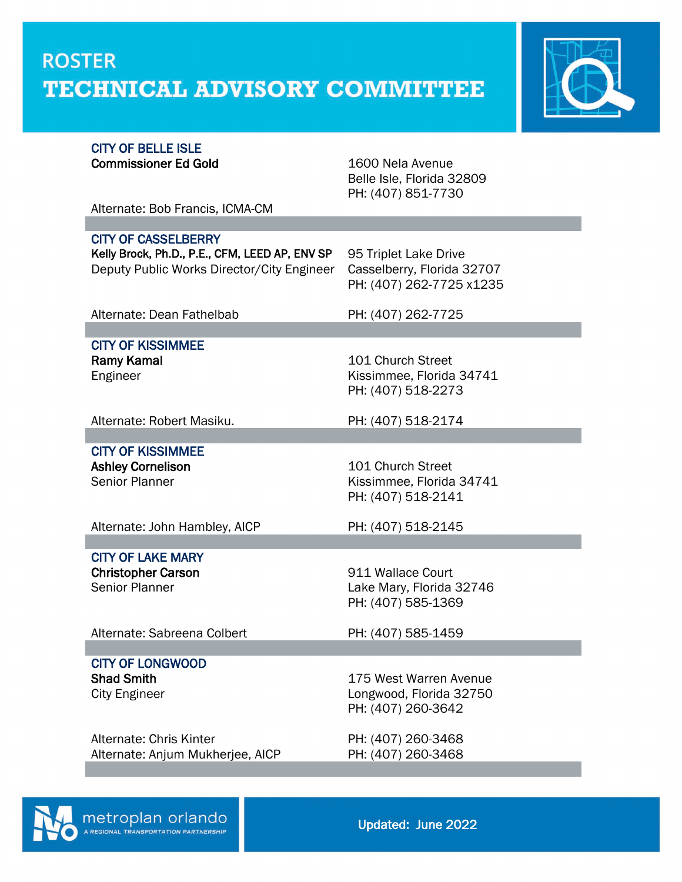

#### CITY OF BELLE ISLE Commissioner Ed Gold 1600 Nela Avenue

Belle Isle, Florida 32809 PH: (407) 851-7730

Alternate: Bob Francis, ICMA-CM

CITY OF CASSELBERRY

Kelly Brock, Ph.D., P.E., CFM, LEED AP, ENV SP 95 Triplet Lake Drive Deputy Public Works Director/City Engineer Casselberry, Florida 32707

PH: (407) 262-7725 x1235

Alternate: Dean Fathelbab PH: (407) 262-7725

### CITY OF KISSIMMEE Ramy Kamal 101 Church Street

Engineer Kissimmee, Florida 34741 PH: (407) 518-2273

Alternate: Robert Masiku. PH: (407) 518-2174

### CITY OF KISSIMMEE

Ashley Cornelison **101 Church Street** Senior Planner **Kissimmee, Florida 34741** PH: (407) 518-2141

Alternate: John Hambley, AICP PH: (407) 518-2145

### CITY OF LAKE MARY

Christopher Carson 911 Wallace Court Senior Planner **Lake Mary, Florida 32746** 

PH: (407) 585-1369

Alternate: Sabreena Colbert PH: (407) 585-1459

# CITY OF LONGWOOD

Alternate: Chris Kinter PH: (407) 260-3468 Alternate: Anjum Mukherjee, AICP PH: (407) 260-3468

Shad Smith 175 West Warren Avenue City Engineer **Longwood, Florida 32750** PH: (407) 260-3642

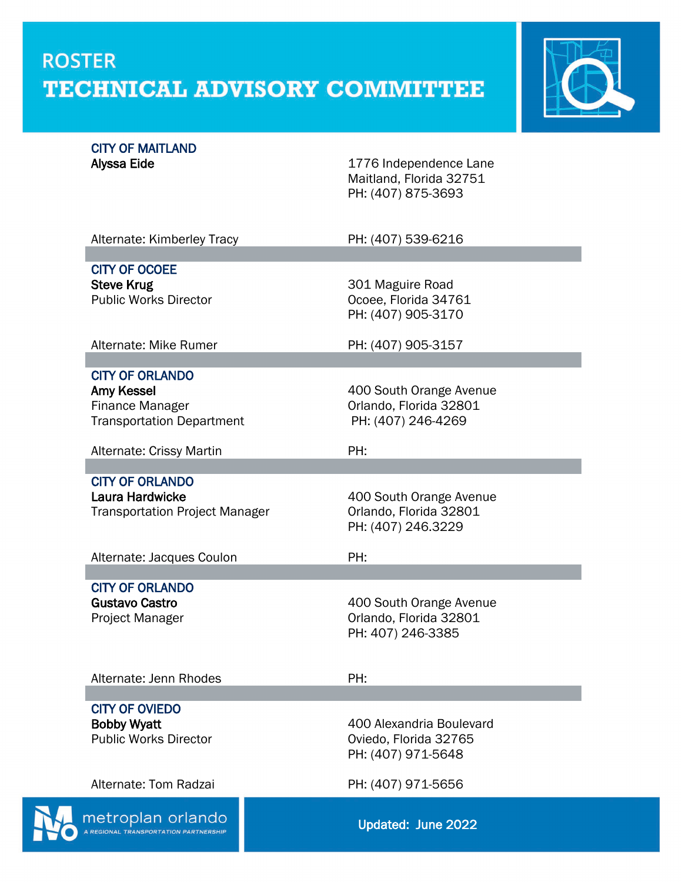

## CITY OF MAITLAND<br>Alyssa Eide

1776 Independence Lane Maitland, Florida 32751 PH: (407) 875-3693

| Alternate: Kimberley Tracy                               | PH: (407) 539-6216                                |
|----------------------------------------------------------|---------------------------------------------------|
|                                                          |                                                   |
| <b>CITY OF OCOEE</b><br><b>Steve Krug</b>                | 301 Maguire Road                                  |
| <b>Public Works Director</b>                             | Ocoee, Florida 34761                              |
|                                                          | PH: (407) 905-3170                                |
| Alternate: Mike Rumer                                    | PH: (407) 905-3157                                |
|                                                          |                                                   |
| <b>CITY OF ORLANDO</b>                                   |                                                   |
| Amy Kessel                                               | 400 South Orange Avenue                           |
| Finance Manager                                          | Orlando, Florida 32801                            |
| <b>Transportation Department</b>                         | PH: (407) 246-4269                                |
| Alternate: Crissy Martin                                 | PH:                                               |
|                                                          |                                                   |
| <b>CITY OF ORLANDO</b>                                   |                                                   |
| Laura Hardwicke<br><b>Transportation Project Manager</b> | 400 South Orange Avenue<br>Orlando, Florida 32801 |
|                                                          | PH: (407) 246.3229                                |
|                                                          |                                                   |
| Alternate: Jacques Coulon                                | PH:                                               |
|                                                          |                                                   |
| <b>CITY OF ORLANDO</b><br><b>Gustavo Castro</b>          | 400 South Orange Avenue                           |
| Project Manager                                          | Orlando, Florida 32801                            |
|                                                          | PH: 407) 246-3385                                 |
|                                                          |                                                   |
| Alternate: Jenn Rhodes                                   | PH:                                               |
|                                                          |                                                   |
| <b>CITY OF OVIEDO</b>                                    |                                                   |
| <b>Bobby Wyatt</b>                                       | 400 Alexandria Boulevard                          |
| <b>Public Works Director</b>                             | Oviedo, Florida 32765                             |
|                                                          | PH: (407) 971-5648                                |
|                                                          |                                                   |
|                                                          |                                                   |
| Alternate: Tom Radzai                                    | PH: (407) 971-5656                                |
| metroplan orlando                                        | Updated: June 2022                                |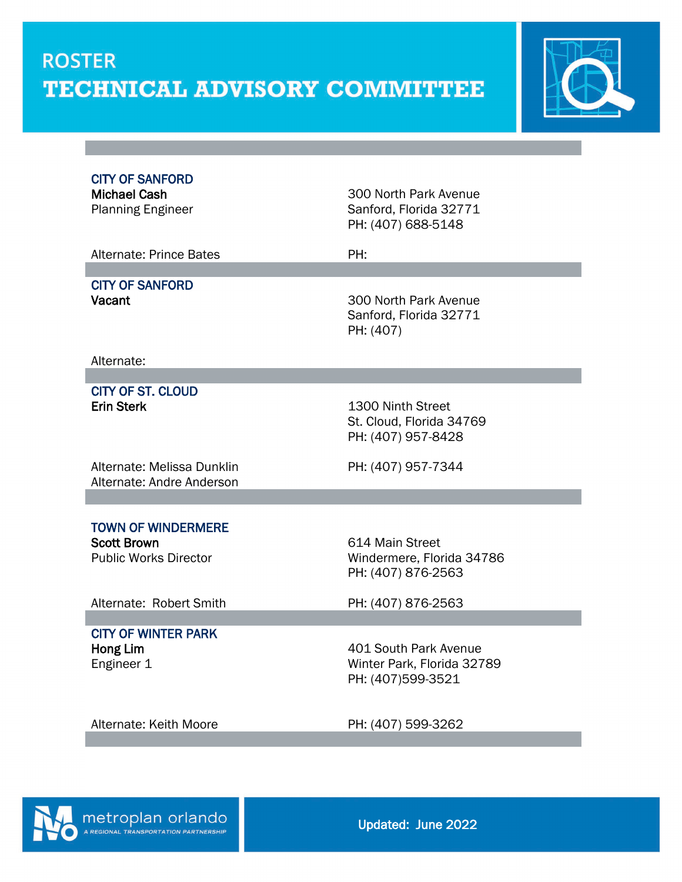

CITY OF SANFORD

Michael Cash 300 North Park Avenue Planning Engineer Sanford, Florida 32771 PH: (407) 688-5148

Alternate: Prince Bates **PH:** 

## CITY OF SANFORD

Vacant Vacant 200 North Park Avenue Sanford, Florida 32771 PH: (407)

Alternate:

 CITY OF ST. CLOUD Erin Sterk 1300 Ninth Street

St. Cloud, Florida 34769 PH: (407) 957-8428

Alternate: Melissa Dunklin Alternate: Andre Anderson

PH: (407) 957-7344

### TOWN OF WINDERMERE

Scott Brown<br>
Public Works Director<br>
Public Works Director<br>
Contract Mondermere, Florence Alexander Mundermere, Florence

Windermere, Florida 34786 PH: (407) 876-2563

Alternate: Robert Smith PH: (407) 876-2563

# CITY OF WINTER PARK

Hong Lim 401 South Park Avenue Engineer 1 Winter Park, Florida 32789 PH: (407)599-3521

Alternate: Keith Moore PH: (407) 599-3262

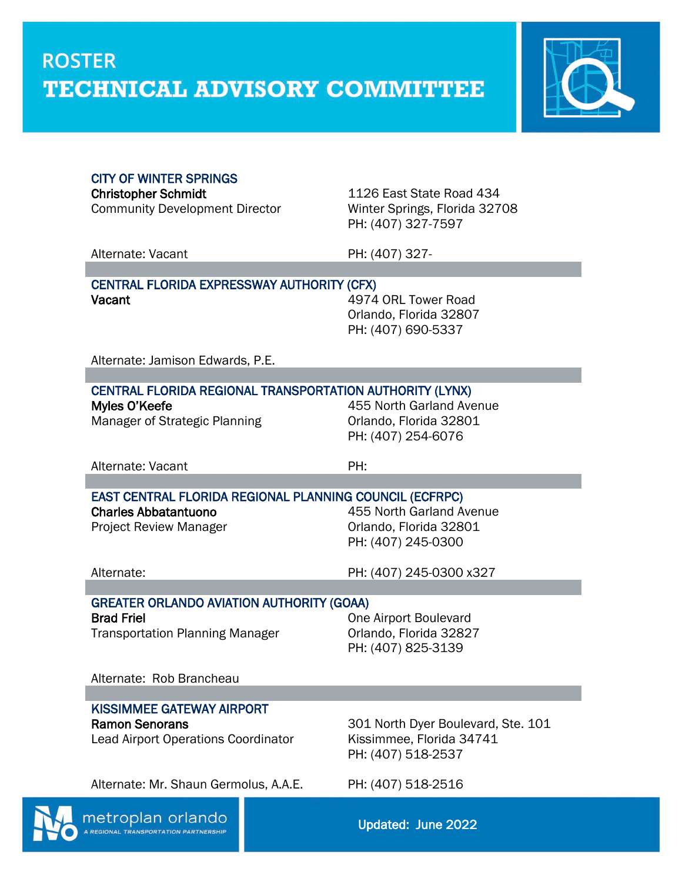

#### CITY OF WINTER SPRINGS

Community Development Director Winter Springs, Florida 32708

Christopher Schmidt 1126 East State Road 434 PH: (407) 327-7597

Alternate: Vacant PH: (407) 327-

#### CENTRAL FLORIDA EXPRESSWAY AUTHORITY (CFX) Vacant Vacant 2001 120 MHz 2002 10:30 MHz 4974 ORL Tower Road

Orlando, Florida 32807 PH: (407) 690-5337

Alternate: Jamison Edwards, P.E.

| CENTRAL FLORIDA REGIONAL TRANSPORTATION AUTHORITY (LYNX) |                          |  |
|----------------------------------------------------------|--------------------------|--|
| Myles O'Keefe                                            | 455 North Garland Avenue |  |
| Manager of Strategic Planning                            | Orlando, Florida 32801   |  |
|                                                          | PH: (407) 254-6076       |  |

Alternate: Vacant PH:

EAST CENTRAL FLORIDA REGIONAL PLANNING COUNCIL (ECFRPC)

Charles Abbatantuono 455 North Garland Avenue Project Review Manager **Canadia** Crlando, Florida 32801 PH: (407) 245-0300

Alternate: PH: (407) 245-0300 x327

#### GREATER ORLANDO AVIATION AUTHORITY (GOAA) **Brad Friel Community Community Community Community Community Community Community Community Community Community**

Transportation Planning Manager **Containedia** Criando, Florida 32827

PH: (407) 825-3139

Alternate: Rob Brancheau

#### KISSIMMEE GATEWAY AIRPORT

Lead Airport Operations Coordinator Kissimmee, Florida 34741

Ramon Senorans 301 North Dyer Boulevard, Ste. 101 PH: (407) 518-2537

Alternate: Mr. Shaun Germolus, A.A.E. PH: (407) 518-2516



Updated: June 2022